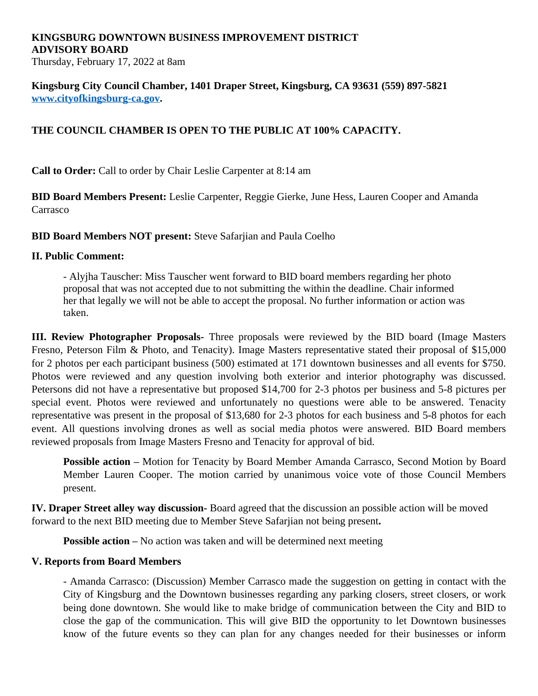## **KINGSBURG DOWNTOWN BUSINESS IMPROVEMENT DISTRICT ADVISORY BOARD**

Thursday, February 17, 2022 at 8am

**Kingsburg City Council Chamber, 1401 Draper Street, Kingsburg, CA 93631 (559) 897-5821 [www.cityofkingsburg-ca.gov.](http://www.cityofkingsburg-ca.gov)**

## **THE COUNCIL CHAMBER IS OPEN TO THE PUBLIC AT 100% CAPACITY.**

**Call to Order:** Call to order by Chair Leslie Carpenter at 8:14 am

**BID Board Members Present:** Leslie Carpenter, Reggie Gierke, June Hess, Lauren Cooper and Amanda Carrasco

**BID Board Members NOT present:** Steve Safarjian and Paula Coelho

## **II. Public Comment:**

- Alyjha Tauscher: Miss Tauscher went forward to BID board members regarding her photo proposal that was not accepted due to not submitting the within the deadline. Chair informed her that legally we will not be able to accept the proposal. No further information or action was taken.

**III. Review Photographer Proposals-** Three proposals were reviewed by the BID board (Image Masters Fresno, Peterson Film & Photo, and Tenacity). Image Masters representative stated their proposal of \$15,000 for 2 photos per each participant business (500) estimated at 171 downtown businesses and all events for \$750. Photos were reviewed and any question involving both exterior and interior photography was discussed. Petersons did not have a representative but proposed \$14,700 for 2-3 photos per business and 5-8 pictures per special event. Photos were reviewed and unfortunately no questions were able to be answered. Tenacity representative was present in the proposal of \$13,680 for 2-3 photos for each business and 5-8 photos for each event. All questions involving drones as well as social media photos were answered. BID Board members reviewed proposals from Image Masters Fresno and Tenacity for approval of bid.

**Possible action –** Motion for Tenacity by Board Member Amanda Carrasco, Second Motion by Board Member Lauren Cooper. The motion carried by unanimous voice vote of those Council Members present.

**IV. Draper Street alley way discussion-** Board agreed that the discussion an possible action will be moved forward to the next BID meeting due to Member Steve Safarjian not being present**.**

**Possible action –** No action was taken and will be determined next meeting

## **V. Reports from Board Members**

- Amanda Carrasco: (Discussion) Member Carrasco made the suggestion on getting in contact with the City of Kingsburg and the Downtown businesses regarding any parking closers, street closers, or work being done downtown. She would like to make bridge of communication between the City and BID to close the gap of the communication. This will give BID the opportunity to let Downtown businesses know of the future events so they can plan for any changes needed for their businesses or inform